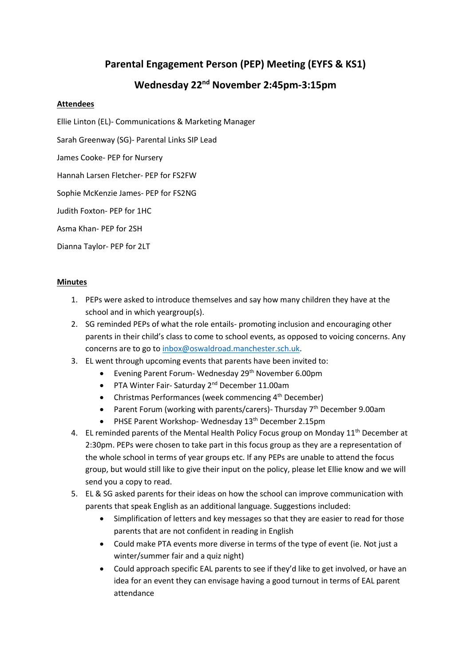## **Parental Engagement Person (PEP) Meeting (EYFS & KS1)**

## **Wednesday 22nd November 2:45pm-3:15pm**

## **Attendees**

Ellie Linton (EL)- Communications & Marketing Manager

Sarah Greenway (SG)- Parental Links SIP Lead

James Cooke- PEP for Nursery

Hannah Larsen Fletcher- PEP for FS2FW

Sophie McKenzie James- PEP for FS2NG

Judith Foxton- PEP for 1HC

Asma Khan- PEP for 2SH

Dianna Taylor- PEP for 2LT

## **Minutes**

- 1. PEPs were asked to introduce themselves and say how many children they have at the school and in which yeargroup(s).
- 2. SG reminded PEPs of what the role entails- promoting inclusion and encouraging other parents in their child's class to come to school events, as opposed to voicing concerns. Any concerns are to go to [inbox@oswaldroad.manchester.sch.uk.](mailto:inbox@oswaldroad.manchester.sch.uk)
- 3. EL went through upcoming events that parents have been invited to:
	- Evening Parent Forum- Wednesday 29<sup>th</sup> November 6.00pm
	- PTA Winter Fair- Saturday 2<sup>nd</sup> December 11.00am
	- Christmas Performances (week commencing  $4<sup>th</sup>$  December)
	- Parent Forum (working with parents/carers)- Thursday 7<sup>th</sup> December 9.00am
	- PHSE Parent Workshop- Wednesday 13<sup>th</sup> December 2.15pm
- 4. EL reminded parents of the Mental Health Policy Focus group on Monday 11<sup>th</sup> December at 2:30pm. PEPs were chosen to take part in this focus group as they are a representation of the whole school in terms of year groups etc. If any PEPs are unable to attend the focus group, but would still like to give their input on the policy, please let Ellie know and we will send you a copy to read.
- 5. EL & SG asked parents for their ideas on how the school can improve communication with parents that speak English as an additional language. Suggestions included:
	- Simplification of letters and key messages so that they are easier to read for those parents that are not confident in reading in English
	- Could make PTA events more diverse in terms of the type of event (ie. Not just a winter/summer fair and a quiz night)
	- Could approach specific EAL parents to see if they'd like to get involved, or have an idea for an event they can envisage having a good turnout in terms of EAL parent attendance